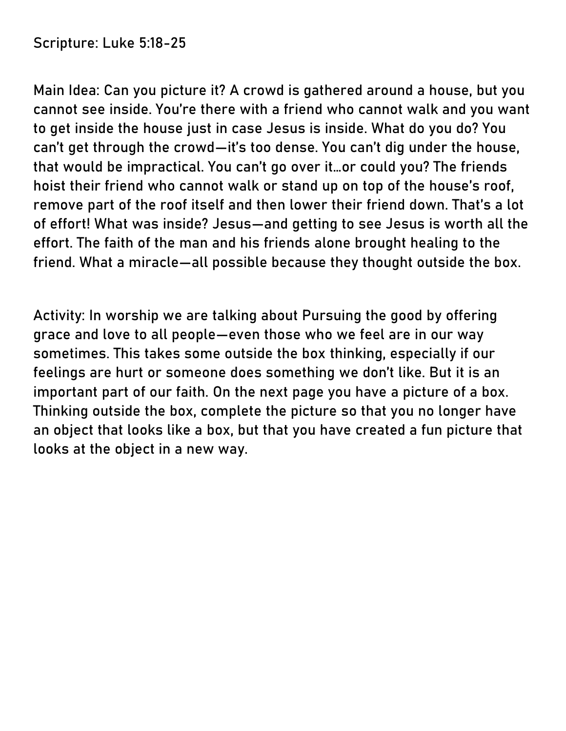**Scripture:** Luke 5:18-25

**Main Idea:** Can you picture it? A crowd is gathered around a house, but you cannot see inside. You're there with a friend who cannot walk and you want to get inside the house just in case Jesus is inside. What do you do? You can't get through the crowd—it's too dense. You can't dig under the house, that would be impractical. You can't go over it…or could you? The friends hoist their friend who cannot walk or stand up on top of the house's roof, remove part of the roof itself and then lower their friend down. That's a lot of effort! What was inside? Jesus—and getting to see Jesus is worth all the effort. The faith of the man and his friends alone brought healing to the friend. What a miracle—all possible because they thought outside the box.

**Activity:** In worship we are talking about Pursuing the good by offering grace and love to all people—even those who we feel are in our way sometimes. This takes some outside the box thinking, especially if our feelings are hurt or someone does something we don't like. But it is an important part of our faith. On the next page you have a picture of a box. Thinking outside the box, complete the picture so that you no longer have an object that looks like a box, but that you have created a fun picture that looks at the object in a new way.